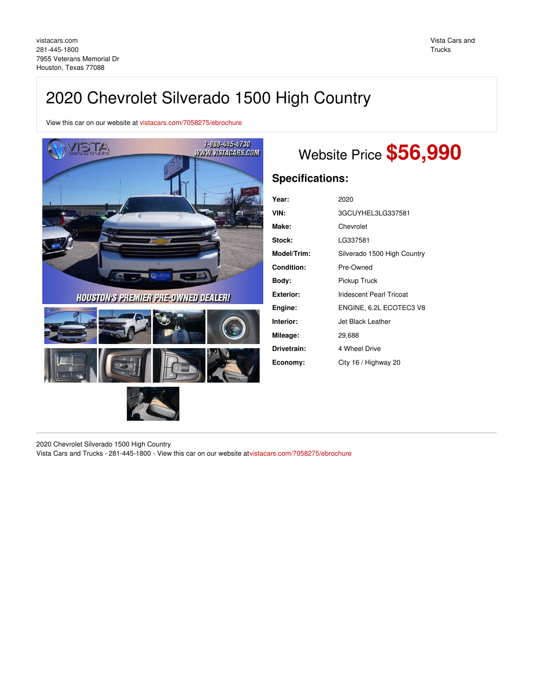# 2020 Chevrolet Silverado 1500 High Country

View this car on our website at [vistacars.com/7058275/ebrochure](https://vistacars.com/vehicle/7058275/2020-chevrolet-silverado-1500-high-country-houston-texas-77088/7058275/ebrochure)



## Website Price **\$56,990**

## **Specifications:**

| Year:            | 2020                            |  |
|------------------|---------------------------------|--|
| VIN:             | 3GCUYHEL3LG337581               |  |
| Make:            | Chevrolet                       |  |
| Stock:           | LG337581                        |  |
| Model/Trim:      | Silverado 1500 High Country     |  |
| Condition:       | Pre-Owned                       |  |
| Body:            | Pickup Truck                    |  |
| <b>Exterior:</b> | <b>Iridescent Pearl Tricoat</b> |  |
| Engine:          | ENGINE, 6.2L ECOTEC3 V8         |  |
| Interior:        | Jet Black Leather               |  |
| Mileage:         | 29,688                          |  |
| Drivetrain:      | 4 Wheel Drive                   |  |
| Economy:         | City 16 / Highway 20            |  |

2020 Chevrolet Silverado 1500 High Country

Vista Cars and Trucks - 281-445-1800 - View this car on our website a[tvistacars.com/7058275/ebrochure](https://vistacars.com/vehicle/7058275/2020-chevrolet-silverado-1500-high-country-houston-texas-77088/7058275/ebrochure)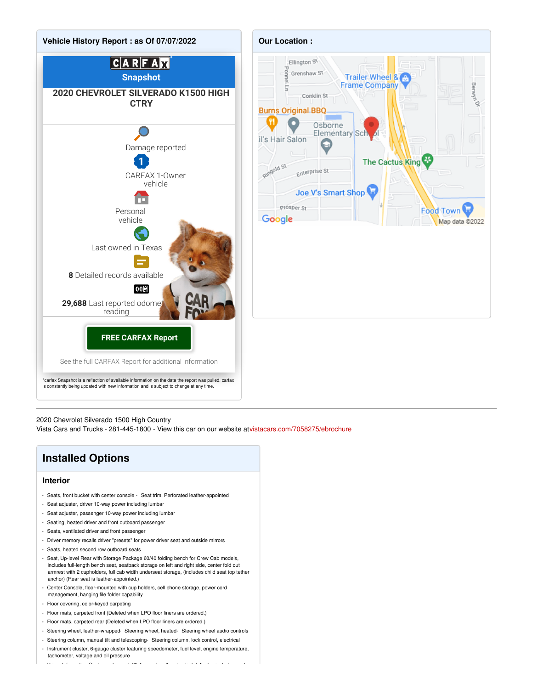



2020 Chevrolet Silverado 1500 High Country

Vista Cars and Trucks - 281-445-1800 - View this car on our website a[tvistacars.com/7058275/ebrochure](https://vistacars.com/vehicle/7058275/2020-chevrolet-silverado-1500-high-country-houston-texas-77088/7058275/ebrochure)

### **Installed Options**

#### **Interior**

- Seats, front bucket with center console Seat trim, Perforated leather-appointed
- Seat adjuster, driver 10-way power including lumbar
- Seat adjuster, passenger 10-way power including lumbar
- Seating, heated driver and front outboard passenger
- Seats, ventilated driver and front passenger
- Driver memory recalls driver "presets" for power driver seat and outside mirrors
- Seats, heated second row outboard seats
- Seat, Up-level Rear with Storage Package 60/40 folding bench for Crew Cab models, includes full-length bench seat, seatback storage on left and right side, center fold out armrest with 2 cupholders, full cab width underseat storage, (includes child seat top tether anchor) (Rear seat is leather-appointed.)
- Center Console, floor-mounted with cup holders, cell phone storage, power cord management, hanging file folder capability
- Floor covering, color-keyed carpeting
- Floor mats, carpeted front (Deleted when LPO floor liners are ordered.)
- Floor mats, carpeted rear (Deleted when LPO floor liners are ordered.)
- Steering wheel, leather-wrapped- Steering wheel, heated- Steering wheel audio controls
- Steering column, manual tilt and telescoping- Steering column, lock control, electrical
- Instrument cluster, 6-gauge cluster featuring speedometer, fuel level, engine temperature, tachometer, voltage and oil pressure - Driver Information Center, enhanced, 8" diagonal multi-color digital display includes analog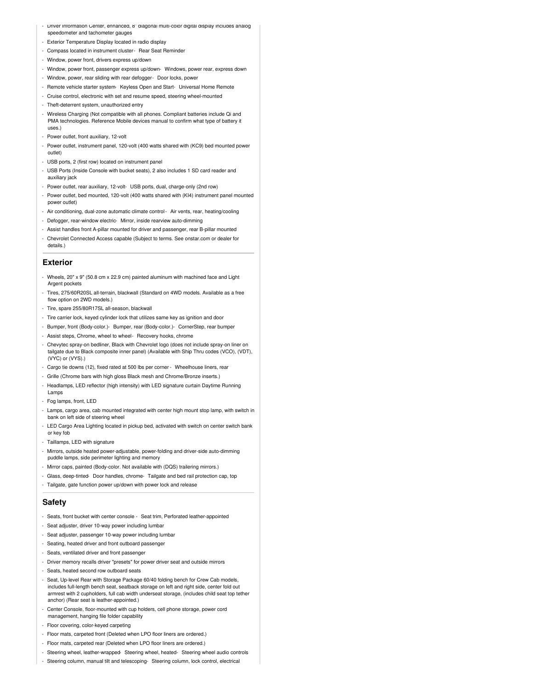- Driver Information Center, enhanced, 8" diagonal multi-color digital display includes analog speedometer and tachometer gauges
- Exterior Temperature Display located in radio display
- Compass located in instrument cluster- Rear Seat Reminder
- Window, power front, drivers express up/down
- Window, power front, passenger express up/down- Windows, power rear, express down
- Window, power, rear sliding with rear defogger- Door locks, powe
- Remote vehicle starter system- Keyless Open and Start- Universal Home Remote
- Cruise control, electronic with set and resume speed, steering wheel-mounted
- Theft-deterrent system, unauthorized entry
- Wireless Charging (Not compatible with all phones. Compliant batteries include Qi and PMA technologies. Reference Mobile devices manual to confirm what type of battery it uses.)
- Power outlet, front auxiliary, 12-volt
- Power outlet, instrument panel, 120-volt (400 watts shared with (KC9) bed mounted power outlet)
- USB ports, 2 (first row) located on instrument panel
- USB Ports (Inside Console with bucket seats), 2 also includes 1 SD card reader and auxiliary jack
- Power outlet, rear auxiliary, 12-volt- USB ports, dual, charge-only (2nd row)
- Power outlet, bed mounted, 120-volt (400 watts shared with (KI4) instrument panel mounted power outlet)
- Air conditioning, dual-zone automatic climate control Air vents, rear, heating/cooling
- Defogger, rear-window electric- Mirror, inside rearview auto-dimming
- Assist handles front A-pillar mounted for driver and passenger, rear B-pillar mounted
- Chevrolet Connected Access capable (Subject to terms. See onstar.com or dealer for details.)

#### **Exterior**

- Wheels, 20" x 9" (50.8 cm x 22.9 cm) painted aluminum with machined face and Light Argent pockets
- Tires, 275/60R20SL all-terrain, blackwall (Standard on 4WD models. Available as a free flow option on 2WD models.)
- Tire, spare 255/80R17SL all-season, blackwall
- Tire carrier lock, keyed cylinder lock that utilizes same key as ignition and door
- Bumper, front (Body-color.)- Bumper, rear (Body-color.)- CornerStep, rear bumper
- Assist steps, Chrome, wheel to wheel- Recovery hooks, chrome
- Chevytec spray-on bedliner, Black with Chevrolet logo (does not include spray-on liner on tailgate due to Black composite inner panel) (Available with Ship Thru codes (VCO), (VDT), (VYC) or (VYS).)
- Cargo tie downs (12), fixed rated at 500 lbs per corner Wheelhouse liners, rear
- Grille (Chrome bars with high gloss Black mesh and Chrome/Bronze inserts.)
- Headlamps, LED reflector (high intensity) with LED signature curtain Daytime Running Lamps
- Fog lamps, front, LED
- Lamps, cargo area, cab mounted integrated with center high mount stop lamp, with switch in bank on left side of steering wheel
- LED Cargo Area Lighting located in pickup bed, activated with switch on center switch bank or key fob
- Taillamps, LED with signature
- Mirrors, outside heated power-adjustable, power-folding and driver-side auto-dimming puddle lamps, side perimeter lighting and memory
- Mirror caps, painted (Body-color. Not available with (DQS) trailering mirrors.)
- Glass, deep-tinted- Door handles, chrome- Tailgate and bed rail protection cap, top
- Tailgate, gate function power up/down with power lock and release

#### **Safety**

- Seats, front bucket with center console Seat trim, Perforated leather-appointed
- Seat adjuster, driver 10-way power including lumbar
- Seat adjuster, passenger 10-way power including lumbar
- Seating, heated driver and front outboard passenger
- Seats, ventilated driver and front passenger
- Driver memory recalls driver "presets" for power driver seat and outside mirrors
- Seats, heated second row outboard seats
- Seat, Up-level Rear with Storage Package 60/40 folding bench for Crew Cab models, includes full-length bench seat, seatback storage on left and right side, center fold out armrest with 2 cupholders, full cab width underseat storage, (includes child seat top tether anchor) (Rear seat is leather-appointed.)
- Center Console, floor-mounted with cup holders, cell phone storage, power cord management, hanging file folder capability
- Floor covering, color-keyed carpeting
- Floor mats, carpeted front (Deleted when LPO floor liners are ordered.)
- Floor mats, carpeted rear (Deleted when LPO floor liners are ordered.)
- Steering wheel, leather-wrapped- Steering wheel, heated- Steering wheel audio controls
- Steering column, manual tilt and telescoping- Steering column, lock control, electrical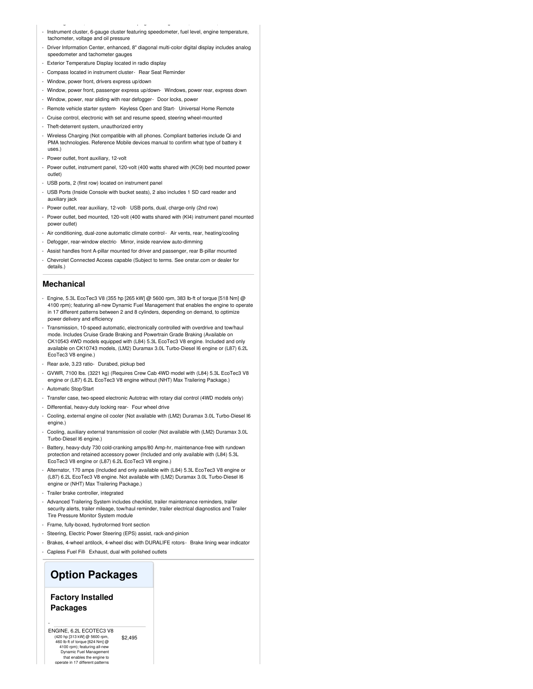- Steering column, manual tilt and telescoping- Steering column, lock control, electrical - Instrument cluster, 6-gauge cluster featuring speedometer, fuel level, engine temperature, tachometer, voltage and oil pressure
- Driver Information Center, enhanced, 8" diagonal multi-color digital display includes analog speedometer and tachometer gauges
- Exterior Temperature Display located in radio display
- Compass located in instrument cluster- Rear Seat Reminder
- Window, power front, drivers express up/down
- Window, power front, passenger express up/down- Windows, power rear, express down
- Window, power, rear sliding with rear defogger- Door locks, power
- Remote vehicle starter system- Keyless Open and Start- Universal Home Remote
- Cruise control, electronic with set and resume speed, steering wheel-mounted
- Theft-deterrent system, unauthorized entry
- Wireless Charging (Not compatible with all phones. Compliant batteries include Qi and PMA technologies. Reference Mobile devices manual to confirm what type of battery it uses.)
- Power outlet, front auxiliary, 12-volt
- Power outlet, instrument panel, 120-volt (400 watts shared with (KC9) bed mounted power outlet)
- USB ports, 2 (first row) located on instrument panel
- USB Ports (Inside Console with bucket seats), 2 also includes 1 SD card reader and auxiliary jack
- Power outlet, rear auxiliary, 12-volt- USB ports, dual, charge-only (2nd row)
- Power outlet, bed mounted, 120-volt (400 watts shared with (KI4) instrument panel mounted power outlet)
- Air conditioning, dual-zone automatic climate control Air vents, rear, heating/cooling
- Defoager, rear-window electric- Mirror, inside rearview auto-dimming
- Assist handles front A-pillar mounted for driver and passenger, rear B-pillar mounted
- Chevrolet Connected Access capable (Subject to terms. See onstar.com or dealer for details.)

#### **Mechanical**

- Engine, 5.3L EcoTec3 V8 (355 hp [265 kW] @ 5600 rpm, 383 lb-ft of torque [518 Nm] @ 4100 rpm); featuring all-new Dynamic Fuel Management that enables the engine to operate in 17 different patterns between 2 and 8 cylinders, depending on demand, to optimize power delivery and efficiency
- Transmission, 10-speed automatic, electronically controlled with overdrive and tow/haul mode. Includes Cruise Grade Braking and Powertrain Grade Braking (Available on CK10543 4WD models equipped with (L84) 5.3L EcoTec3 V8 engine. Included and only available on CK10743 models, (LM2) Duramax 3.0L Turbo-Diesel I6 engine or (L87) 6.2L EcoTec3 V8 engine.)
- Rear axle, 3.23 ratio- Durabed, pickup bed
- GVWR, 7100 lbs. (3221 kg) (Requires Crew Cab 4WD model with (L84) 5.3L EcoTec3 V8 engine or (L87) 6.2L EcoTec3 V8 engine without (NHT) Max Trailering Package.)
- Automatic Stop/Start
- Transfer case, two-speed electronic Autotrac with rotary dial control (4WD models only)
- Differential, heavy-duty locking rear- Four wheel drive
- Cooling, external engine oil cooler (Not available with (LM2) Duramax 3.0L Turbo-Diesel I6 engine.)
- Cooling, auxiliary external transmission oil cooler (Not available with (LM2) Duramax 3.0L Turbo-Diesel I6 engine.)
- Battery, heavy-duty 730 cold-cranking amps/80 Amp-hr, maintenance-free with rundown protection and retained accessory power (Included and only available with (L84) 5.3L EcoTec3 V8 engine or (L87) 6.2L EcoTec3 V8 engine.)
- Alternator, 170 amps (Included and only available with (L84) 5.3L EcoTec3 V8 engine or (L87) 6.2L EcoTec3 V8 engine. Not available with (LM2) Duramax 3.0L Turbo-Diesel I6 engine or (NHT) Max Trailering Package.)
- Trailer brake controller, integrated
- Advanced Trailering System includes checklist, trailer maintenance reminders, trailer security alerts, trailer mileage, tow/haul reminder, trailer electrical diagnostics and Trailer Tire Pressure Monitor System module
- Frame, fully-boxed, hydroformed front section
- Steering, Electric Power Steering (EPS) assist, rack-and-pinion
- Brakes, 4-wheel antilock, 4-wheel disc with DURALIFE rotors- Brake lining wear indicator - Capless Fuel Fill- Exhaust, dual with polished outlets

### **Option Packages**

#### **Factory Installed Packages**

-

\$2,495 ENGINE, 6.2L ECOTEC3 V8 (420 hp [313 kW] @ 5600 rpm,  $(120 \text{ h})$  and the ft of torque  $[624 \text{ Nm}]$   $\omega$ 4100 rpm); featuring all-new Dynamic Fuel Management that enables the engine to operate in 17 different patterns